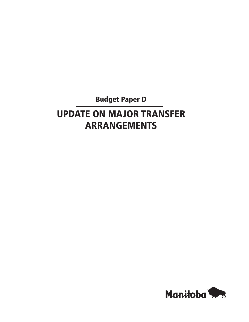Budget Paper D

# UPDATE ON MAJOR TRANSFER ARRANGEMENTS

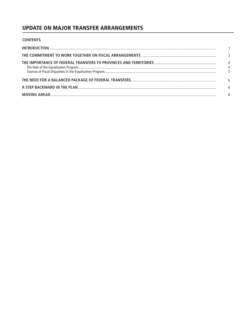# **UPDATE ON MAJOR TRANSFER ARRANGEMENTS**

| <b>CONTENTS</b> |                                  |
|-----------------|----------------------------------|
|                 |                                  |
|                 | $\overline{\phantom{0}}$         |
|                 | $\overline{4}$<br>$\overline{4}$ |
|                 | 6                                |
|                 | 6                                |
|                 | 8                                |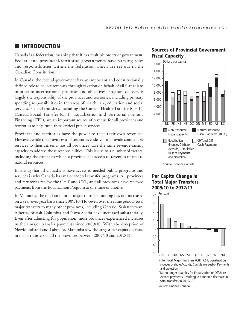## **INTRODUCTION**

Canada is a federation, meaning that it has multiple orders of government. Federal and provincial/territorial governments have varying roles and responsibilities within the federation which are set out in the Canadian Constitution.

In Canada, the federal government has an important and constitutionally defined role to collect revenues through taxation on behalf of all Canadians in order to meet national priorities and objectives. Program delivery is largely the responsibility of the provinces and territories, including primary spending responsibilities in the areas of health care, education and social services. Federal transfers, including the Canada Health Transfer (CHT), Canada Social Transfer (CST), Equalization and Territorial Formula Financing (TFF), are an important source of revenue for all provinces and territories to help fund these critical public services.

Provinces and territories have the power to raise their own revenues. However, while the provinces and territories endeavor to provide comparable services to their citizens, not all provinces have the same revenue-raising capacity to address those responsibilities. This is due to a number of factors, including the extent to which a province has access to revenues related to natural resources.

Ensuring that all Canadians have access to needed public programs and services is why Canada has major federal transfer programs. All provinces and territories receive the CHT and CST, and all provinces have received payments from the Equalization Program at one time or another.

In Manitoba, the total amount of major transfers funding has not increased on a year-over-year basis since 2009/10. However, over the same period, total major transfers to many other provinces, including Ontario, Saskatchewan, Alberta, British Columbia and Nova Scotia have increased substantially. Even after adjusting for population, most provinces experienced increases in their major transfer payments since 2009/10. With the exception of Newfoundland and Labrador, Manitoba saw the largest per capita decrease in major transfers of all the provinces between 2009/10 and 2012/13.

### Sources of Provincial Government Fiscal Capacity



## Per Capita Change in Total Major Transfers, 2009/10 to 2012/13



Source: Finance Canada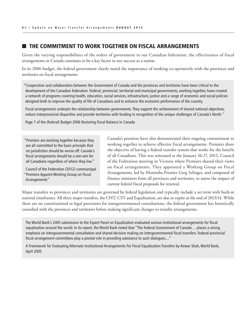# THE COMMITMENT TO WORK TOGETHER ON FISCAL ARRANGEMENTS

Given the varying responsibilities of the orders of government in our Canadian federation, the effectiveness of fiscal arrangements in Canada continues to be a key factor in our success as a nation.

In its 2006 budget, the federal government clearly noted the importance of working co-operatively with the provinces and territories on fiscal arrangements.

"Cooperation and collaboration between the Government of Canada and the provinces and territories have been critical to the development of the Canadian federation. Federal, provincial, territorial and municipal governments, working together, have created a network of programs covering health, education, social services, infrastructure, justice and a range of economic and social policies designed both to improve the quality of life of Canadians and to enhance the economic performance of the country.

Fiscal arrangements underpin the relationship between governments. They support the achievement of shared national objectives, reduce interprovincial disparities and provide territories with funding in recognition of the unique challenges of Canada's North."

Page 7 of the (federal) Budget 2006 Restoring Fiscal Balance in Canada

"Premiers are working together because they are all committed to the basic principle that no jurisdiction should be worse off. Canada's fiscal arrangements should be a win-win for all Canadians regardless of where they live."

Council of the Federation (2012) communiqué "Premiers Appoint Working Group on Fiscal Arrangements"

Canada's premiers have also demonstrated their ongoing commitment to working together to achieve effective fiscal arrangements. Premiers share the objective of having a federal transfer system that works for the benefit of all Canadians. This was reiterated at the January 16-17, 2012, Council of the Federation meeting in Victoria where Premiers shared their views on fiscal arrangements. They appointed a Working Group on Fiscal Arrangements, led by Manitoba Premier Greg Selinger, and composed of finance ministers from all provinces and territories, to assess the impact of current federal fiscal proposals for renewal.

Major transfers to provinces and territories are governed by federal legislation and typically include a set term with built-in renewal timeframes. All three major transfers, the CHT, CST and Equalization, are due to expire at the end of 2013/14. While there are no constitutional or legal provisions for intergovernmental consultations, the federal government has historically consulted with the provinces and territories before making significant changes to transfer arrangements.

The World Bank's 2005 submission to the Expert Panel on Equalization evaluated various institutional arrangements for fiscal equalization around the world. In its report, the World Bank noted that "The Federal Government of Canada… places a strong emphasis on intergovernmental consultation and shared decision making on intergovernmental fiscal transfers. Federal-provincial fiscal arrangement committees play a pivotal role in providing substance to such dialogues...."

A Framework for Evaluating Alternate Institutional Arrangements For Fiscal Equalization Transfers by Anwar Shah, World Bank, April 2005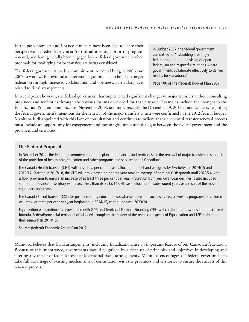In the past, premiers and finance ministers have been able to share their perspectives at federal/provincial/territorial meetings prior to program renewal, and have generally been engaged by the federal government when proposals for modifying major transfers are being considered.

The federal government made a commitment in federal budgets 2006 and 2007 to work with provincial and territorial governments to build a stronger federation through increased collaboration and openness, particularly as it related to fiscal arrangements.

In Budget 2007, the federal government committed to "…building a stronger federation… built on a vision of open federalism and respectful relations, where governments collaborate effectively to deliver results for Canadians."

Page 106 of The (federal) Budget Plan 2007

In recent years, however, the federal government has implemented significant changes to major transfers without consulting provinces and territories through the various forums developed for that purpose. Examples include the changes to the Equalization Program announced in November 2008, and more recently the December 19, 2011 announcement, regarding the federal government's intentions for the renewal of the major transfers which were confirmed in the 2012 federal budget. Manitoba is disappointed with this lack of consultation and continues to believe that a successful transfer renewal process must include an opportunity for engagement and meaningful input and dialogue between the federal government and the provinces and territories.

#### **The Federal Proposal**

In December 2011, the federal government set out its plans to provinces and territories for the renewal of major transfers in support of the provision of health care, education and other programs and services for all Canadians.

The Canada Health Transfer (CHT) will move to a per capita cash allocation model and will grow by 6% between 2014/15 and 2016/17. Starting in 2017/18, the CHT will grow based on a three-year moving average of nominal GDP growth until 2023/24 with a floor provision to ensure an increase of at least three per cent per year. Protection from year-over-year declines is also included so that no province or territory will receive less than its 2013/14 CHT cash allocation in subsequent years as a result of the move to equal per capita cash.

The Canada Social Transfer (CST) for post-secondary education, social assistance and social services, as well as programs for children will grow at three per cent per year beginning in 2014/15, continuing until 2023/24.

Equalization will continue to grow in line with GDP, and Territorial Formula Financing (TFF) will continue to grow based on its current formula. Federal/provincial territorial officials will complete the review of the technical aspects of Equalization and TFF in time for their renewal in 2014/15.

Source: (federal) Economic Action Plan 2012

Manitoba believes that fiscal arrangements, including Equalization, are an important feature of our Canadian federation. Because of this importance, governments should be guided by a clear set of principles and objectives in developing and altering any aspect of federal/provincial/territorial fiscal arrangements. Manitoba encourages the federal government to take full advantage of existing mechanisms of consultation with the provinces and territories to ensure the success of this renewal process.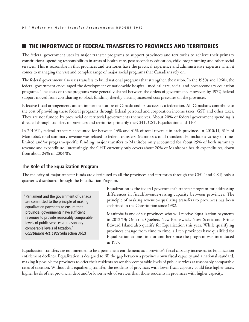## THE IMPORTANCE OF FEDERAL TRANSFERS TO PROVINCES AND TERRITORIES

The federal government uses its major transfer programs to support provinces and territories to achieve their primary constitutional spending responsibilities in areas of health care, post-secondary education, child programming and other social services. This is reasonable in that provinces and territories have the practical experience and administrative expertise when it comes to managing the vast and complex range of major social programs that Canadians rely on.

The federal government also uses transfers to build national programs that strengthen the nation. In the 1950s and 1960s, the federal government encouraged the development of nationwide hospital, medical care, social and post-secondary education programs. The costs of these programs were generally shared between the orders of government. However, by 1977, federal support moved from cost sharing to block funding, thereby placing increased cost pressures on the provinces.

Effective fiscal arrangements are an important feature of Canada and its success as a federation. All Canadians contribute to the cost of providing these federal programs through federal personal and corporation income taxes, GST and other taxes. They are not funded by provincial or territorial governments themselves. About 20% of federal government spending is directed through transfers to provinces and territories primarily the CHT, CST, Equalization and TFF.

In 2010/11, federal transfers accounted for between 14% and 41% of total revenue in each province. In 2010/11, 31% of Manitoba's total summary revenue was related to federal transfers. Manitoba's total transfers also include a variety of timelimited and/or program-specific funding; major transfers to Manitoba only accounted for about 25% of both summary revenue and expenditure. Interestingly, the CHT currently only covers about 20% of Manitoba's health expenditures, down from about 24% in 2004/05.

#### **The Role of the Equalization Program**

The majority of major transfer funds are distributed to all the provinces and territories through the CHT and CST; only a quarter is distributed through the Equalization Program.

"Parliament and the government of Canada are committed to the principle of making equalization payments to ensure that provincial governments have sufficient revenues to provide reasonably comparable levels of public services at reasonably comparable levels of taxation." *Constitution Act, 1982* Subsection 36(2)

Equalization is the federal government's transfer program for addressing differences in fiscal/revenue-raising capacity between provinces. The principle of making revenue-equalizing transfers to provinces has been enshrined in the Constitution since 1982.

Manitoba is one of six provinces who will receive Equalization payments in 2012/13; Ontario, Quebec, New Brunswick, Nova Scotia and Prince Edward Island also qualify for Equalization this year. While qualifying provinces change from time to time, all ten provinces have qualified for Equalization at one time or another since the program was introduced in 1957.

Equalization transfers are not intended to be a permanent entitlement; as a province's fiscal capacity increases, its Equalization entitlement declines. Equalization is designed to fill the gap between a province's own fiscal capacity and a national standard, making it possible for provinces to offer their residents reasonably comparable levels of public services at reasonably comparable rates of taxation. Without this equalizing transfer, the residents of provinces with lower fiscal capacity could face higher taxes, higher levels of net provincial debt and/or lower levels of services than those residents in provinces with higher capacity.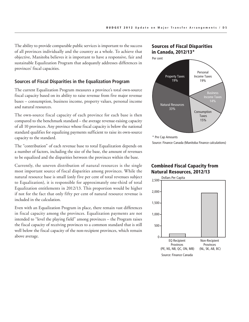The ability to provide comparable public services is important to the success of all provinces individually and the country as a whole. To achieve that objective, Manitoba believes it is important to have a responsive, fair and sustainable Equalization Program that adequately addresses differences in provinces' fiscal capacities.

#### **Sources of Fiscal Disparities in the Equalization Program**

The current Equalization Program measures a province's total own-source fiscal capacity based on its ability to raise revenue from five major revenue bases – consumption, business income, property values, personal income and natural resources.

The own-source fiscal capacity of each province for each base is then compared to the benchmark standard – the average revenue-raising capacity of all 10 provinces. Any province whose fiscal capacity is below the national standard qualifies for equalizing payments sufficient to raise its own-source capacity to the standard.

The "contribution" of each revenue base to total Equalization depends on a number of factors, including the size of the base, the amount of revenues to be equalized and the disparities between the provinces within the base.

Currently, the uneven distribution of natural resources is the single most important source of fiscal disparities among provinces. While the natural resource base is small (only five per cent of total revenues subject to Equalization), it is responsible for approximately one-third of total Equalization entitlements in 2012/13. This proportion would be higher if not for the fact that only fifty per cent of natural resource revenue is included in the calculation.

Even with an Equalization Program in place, there remain vast differences in fiscal capacity among the provinces. Equalization payments are not intended to "level the playing field" among provinces – the Program raises the fiscal capacity of receiving provinces to a common standard that is still well below the fiscal capacity of the non-recipient provinces, which remain above average.





\* Pre Cap Amounts

Source: Finance Canada (Manitoba Finance calculations)

## Combined Fiscal Capacity from Natural Resources, 2012/13

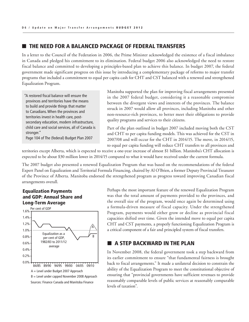## THE NEED FOR A BALANCED PACKAGE OF FEDERAL TRANSFERS

In a letter to the Council of the Federation in 2006, the Prime Minister acknowledged the existence of a fiscal imbalance in Canada and pledged his commitment to its elimination. Federal budget 2006 also acknowledged the need to restore fiscal balance and committed to developing a principles-based plan to achieve this balance. In budget 2007, the federal government made significant progress on this issue by introducing a complementary package of reforms to major transfer programs that included a commitment to equal per capita cash for CHT and CST balanced with a renewed and strengthened Equalization Program.

"A restored fiscal balance will ensure the provinces and territories have the means to build and provide things that matter to Canadians. When the provinces and territories invest in health care, postsecondary education, modern infrastructure, child care and social services, all of Canada is stronger." Page 104 of The (federal) Budget Plan 2007

Manitoba supported the plan for improving fiscal arrangements presented in the 2007 federal budget, considering it a reasonable compromise between the divergent views and interests of the provinces. The balance struck in 2007 would allow all provinces, including Manitoba and other non-resource-rich provinces, to better meet their obligations to provide quality programs and services to their citizens.

Part of the plan outlined in budget 2007 included moving both the CST and CHT to per capita funding models. This was achieved for the CST in 2007/08 and will occur for the CHT in 2014/15. The move, in 2014/15, to equal per capita funding will reduce CHT transfers to all provinces and

territories except Alberta, which is expected to receive a one-year increase of almost \$1 billion. Manitoba's CHT allocation is expected to be about \$30 million lower in 2014/15 compared to what it would have received under the current formula.

The 2007 budget also presented a renewed Equalization Program that was based on the recommendations of the federal Expert Panel on Equalization and Territorial Formula Financing, chaired by Al O'Brien, a former Deputy Provincial Treasurer of the Province of Alberta. Manitoba endorsed the strengthened program as progress toward improving Canadian fiscal arrangements overall.

#### Equalization Payments and GDP: Annual Share and Long-Term Average



Perhaps the most important feature of the renewed Equalization Program was that the total amount of payments provided to the provinces, and the overall size of the program, would once again be determined using a formula-driven measure of fiscal capacity. Under the strengthened Program, payments would either grow or decline as provincial fiscal capacities shifted over time. Given the intended move to equal per capita CHT and CST payments, a properly functioning Equalization Program is a critical component of a fair and principled system of fiscal transfers.

# $\blacksquare$  A STEP BACKWARD IN THE PLAN

In November 2008, the federal government took a step backward from its earlier commitment to ensure "that fundamental fairness is brought back to fiscal arrangements." It made a unilateral decision to constrain the ability of the Equalization Program to meet the constitutional objective of ensuring that "provincial governments have sufficient revenues to provide reasonably comparable levels of public services at reasonably comparable levels of taxation".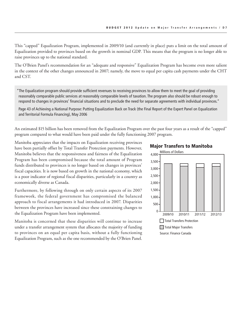This "capped" Equalization Program, implemented in 2009/10 (and currently in place) puts a limit on the total amount of Equalization provided to provinces based on the growth in nominal GDP. This means that the program is no longer able to raise provinces up to the national standard.

The O'Brien Panel's recommendation for an "adequate and responsive" Equalization Program has become even more salient in the context of the other changes announced in 2007; namely, the move to equal per capita cash payments under the CHT and CST.

"The Equalization program should provide sufficient revenues to receiving provinces to allow them to meet the goal of providing reasonably comparable public services at reasonably comparable levels of taxation. The program also should be robust enough to respond to changes in provinces' financial situations and to preclude the need for separate agreements with individual provinces."

Page 43 of Achieving a National Purpose: Putting Equalization Back on Track (the Final Report of the Expert Panel on Equalization and Territorial Formula Financing), May 2006

An estimated \$15 billion has been removed from the Equalization Program over the past four years as a result of the "capped" program compared to what would have been paid under the fully functioning 2007 program.

Manitoba appreciates that the impacts on Equalization receiving provinces have been partially offset by Total Transfer Protection payments. However, Manitoba believes that the responsiveness and fairness of the Equalization Program has been compromised because the total amount of Program funds distributed to provinces is no longer based on changes in provinces' fiscal capacities. It is now based on growth in the national economy, which is a poor indicator of regional fiscal disparities, particularly in a country as economically diverse as Canada.

Furthermore, by following through on only certain aspects of its 2007 framework, the federal government has compromised the balanced approach to fiscal arrangements it had introduced in 2007. Disparities between the provinces have increased since these constraining changes to the Equalization Program have been implemented.

Manitoba is concerned that these disparities will continue to increase under a transfer arrangement system that allocates the majority of funding to provinces on an equal per capita basis, without a fully functioning Equalization Program, such as the one recommended by the O'Brien Panel.

#### Major Transfers to Manitoba